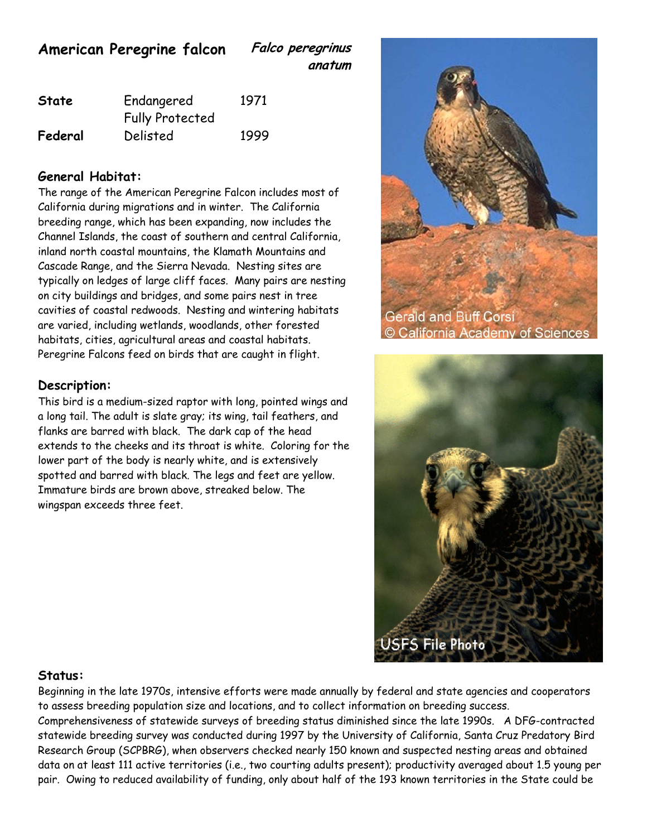**American Peregrine falcon Falco peregrinus**

**anatum**

| <b>State</b> | Endangered             | 1971 |
|--------------|------------------------|------|
|              | <b>Fully Protected</b> |      |
| Federal      | Delisted               | 1999 |

## **General Habitat:**

The range of the American Peregrine Falcon includes most of California during migrations and in winter. The California breeding range, which has been expanding, now includes the Channel Islands, the coast of southern and central California, inland north coastal mountains, the Klamath Mountains and Cascade Range, and the Sierra Nevada. Nesting sites are typically on ledges of large cliff faces. Many pairs are nesting on city buildings and bridges, and some pairs nest in tree cavities of coastal redwoods. Nesting and wintering habitats are varied, including wetlands, woodlands, other forested habitats, cities, agricultural areas and coastal habitats. Peregrine Falcons feed on birds that are caught in flight.

## **Description:**

This bird is a medium-sized raptor with long, pointed wings and a long tail. The adult is slate gray; its wing, tail feathers, and flanks are barred with black. The dark cap of the head extends to the cheeks and its throat is white. Coloring for the lower part of the body is nearly white, and is extensively spotted and barred with black. The legs and feet are yellow. Immature birds are brown above, streaked below. The wingspan exceeds three feet.





## **Status:**

Beginning in the late 1970s, intensive efforts were made annually by federal and state agencies and cooperators to assess breeding population size and locations, and to collect information on breeding success. Comprehensiveness of statewide surveys of breeding status diminished since the late 1990s. A DFG-contracted statewide breeding survey was conducted during 1997 by the University of California, Santa Cruz Predatory Bird Research Group (SCPBRG), when observers checked nearly 150 known and suspected nesting areas and obtained data on at least 111 active territories (i.e., two courting adults present); productivity averaged about 1.5 young per pair. Owing to reduced availability of funding, only about half of the 193 known territories in the State could be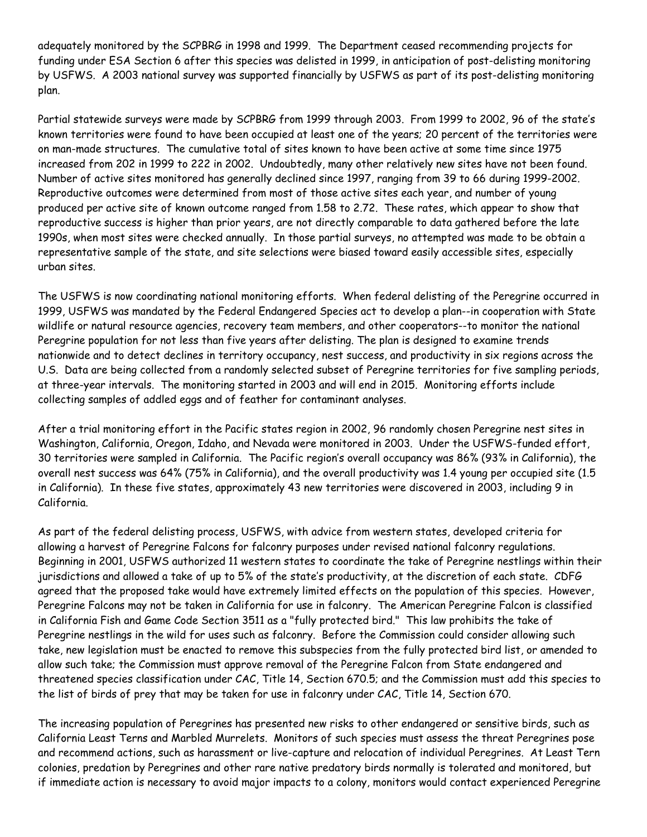adequately monitored by the SCPBRG in 1998 and 1999. The Department ceased recommending projects for funding under ESA Section 6 after this species was delisted in 1999, in anticipation of post-delisting monitoring by USFWS. A 2003 national survey was supported financially by USFWS as part of its post-delisting monitoring plan.

Partial statewide surveys were made by SCPBRG from 1999 through 2003. From 1999 to 2002, 96 of the state's known territories were found to have been occupied at least one of the years; 20 percent of the territories were on man-made structures. The cumulative total of sites known to have been active at some time since 1975 increased from 202 in 1999 to 222 in 2002. Undoubtedly, many other relatively new sites have not been found. Number of active sites monitored has generally declined since 1997, ranging from 39 to 66 during 1999-2002. Reproductive outcomes were determined from most of those active sites each year, and number of young produced per active site of known outcome ranged from 1.58 to 2.72. These rates, which appear to show that reproductive success is higher than prior years, are not directly comparable to data gathered before the late 1990s, when most sites were checked annually. In those partial surveys, no attempted was made to be obtain a representative sample of the state, and site selections were biased toward easily accessible sites, especially urban sites.

The USFWS is now coordinating national monitoring efforts. When federal delisting of the Peregrine occurred in 1999, USFWS was mandated by the Federal Endangered Species act to develop a plan--in cooperation with State wildlife or natural resource agencies, recovery team members, and other cooperators--to monitor the national Peregrine population for not less than five years after delisting. The plan is designed to examine trends nationwide and to detect declines in territory occupancy, nest success, and productivity in six regions across the U.S. Data are being collected from a randomly selected subset of Peregrine territories for five sampling periods, at three-year intervals. The monitoring started in 2003 and will end in 2015. Monitoring efforts include collecting samples of addled eggs and of feather for contaminant analyses.

After a trial monitoring effort in the Pacific states region in 2002, 96 randomly chosen Peregrine nest sites in Washington, California, Oregon, Idaho, and Nevada were monitored in 2003. Under the USFWS-funded effort, 30 territories were sampled in California. The Pacific region's overall occupancy was 86% (93% in California), the overall nest success was 64% (75% in California), and the overall productivity was 1.4 young per occupied site (1.5 in California). In these five states, approximately 43 new territories were discovered in 2003, including 9 in California.

As part of the federal delisting process, USFWS, with advice from western states, developed criteria for allowing a harvest of Peregrine Falcons for falconry purposes under revised national falconry regulations. Beginning in 2001, USFWS authorized 11 western states to coordinate the take of Peregrine nestlings within their jurisdictions and allowed a take of up to 5% of the state's productivity, at the discretion of each state. CDFG agreed that the proposed take would have extremely limited effects on the population of this species. However, Peregrine Falcons may not be taken in California for use in falconry. The American Peregrine Falcon is classified in California Fish and Game Code Section 3511 as a "fully protected bird." This law prohibits the take of Peregrine nestlings in the wild for uses such as falconry. Before the Commission could consider allowing such take, new legislation must be enacted to remove this subspecies from the fully protected bird list, or amended to allow such take; the Commission must approve removal of the Peregrine Falcon from State endangered and threatened species classification under CAC, Title 14, Section 670.5; and the Commission must add this species to the list of birds of prey that may be taken for use in falconry under CAC, Title 14, Section 670.

The increasing population of Peregrines has presented new risks to other endangered or sensitive birds, such as California Least Terns and Marbled Murrelets. Monitors of such species must assess the threat Peregrines pose and recommend actions, such as harassment or live-capture and relocation of individual Peregrines. At Least Tern colonies, predation by Peregrines and other rare native predatory birds normally is tolerated and monitored, but if immediate action is necessary to avoid major impacts to a colony, monitors would contact experienced Peregrine